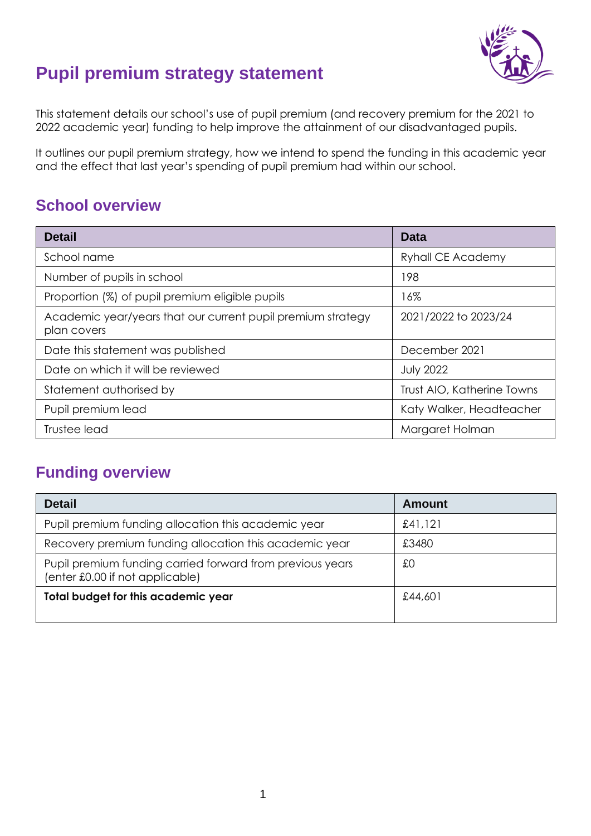

# **Pupil premium strategy statement**

This statement details our school's use of pupil premium (and recovery premium for the 2021 to 2022 academic year) funding to help improve the attainment of our disadvantaged pupils.

It outlines our pupil premium strategy, how we intend to spend the funding in this academic year and the effect that last year's spending of pupil premium had within our school.

# **School overview**

| <b>Detail</b>                                                              | Data                       |
|----------------------------------------------------------------------------|----------------------------|
| School name                                                                | <b>Ryhall CE Academy</b>   |
| Number of pupils in school                                                 | 198                        |
| Proportion (%) of pupil premium eligible pupils                            | 16%                        |
| Academic year/years that our current pupil premium strategy<br>plan covers | 2021/2022 to 2023/24       |
| Date this statement was published                                          | December 2021              |
| Date on which it will be reviewed                                          | <b>July 2022</b>           |
| Statement authorised by                                                    | Trust AIO, Katherine Towns |
| Pupil premium lead                                                         | Katy Walker, Headteacher   |
| Trustee lead                                                               | Margaret Holman            |

# **Funding overview**

| <b>Detail</b>                                                                                | Amount  |
|----------------------------------------------------------------------------------------------|---------|
| Pupil premium funding allocation this academic year                                          | £41,121 |
| Recovery premium funding allocation this academic year                                       | £3480   |
| Pupil premium funding carried forward from previous years<br>(enter £0.00 if not applicable) | £0      |
| Total budget for this academic year                                                          | £44,601 |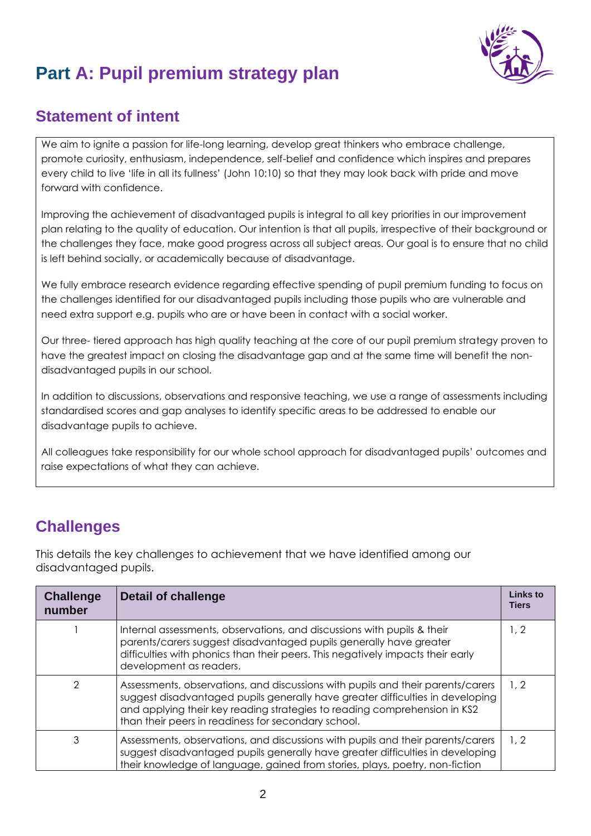

# **Part A: Pupil premium strategy plan**

## **Statement of intent**

We aim to ignite a passion for life-long learning, develop great thinkers who embrace challenge, promote curiosity, enthusiasm, independence, self-belief and confidence which inspires and prepares every child to live 'life in all its fullness' (John 10:10) so that they may look back with pride and move forward with confidence.

Improving the achievement of disadvantaged pupils is integral to all key priorities in our improvement plan relating to the quality of education. Our intention is that all pupils, irrespective of their background or the challenges they face, make good progress across all subject areas. Our goal is to ensure that no child is left behind socially, or academically because of disadvantage.

We fully embrace research evidence regarding effective spending of pupil premium funding to focus on the challenges identified for our disadvantaged pupils including those pupils who are vulnerable and need extra support e.g. pupils who are or have been in contact with a social worker.

Our three- tiered approach has high quality teaching at the core of our pupil premium strategy proven to have the greatest impact on closing the disadvantage gap and at the same time will benefit the nondisadvantaged pupils in our school.

In addition to discussions, observations and responsive teaching, we use a range of assessments including standardised scores and gap analyses to identify specific areas to be addressed to enable our disadvantage pupils to achieve.

All colleagues take responsibility for our whole school approach for disadvantaged pupils' outcomes and raise expectations of what they can achieve.

# **Challenges**

This details the key challenges to achievement that we have identified among our disadvantaged pupils.

| <b>Challenge</b><br>number | Detail of challenge                                                                                                                                                                                                                                                                                   | Links to<br><b>Tiers</b> |
|----------------------------|-------------------------------------------------------------------------------------------------------------------------------------------------------------------------------------------------------------------------------------------------------------------------------------------------------|--------------------------|
|                            | Internal assessments, observations, and discussions with pupils & their<br>parents/carers suggest disadvantaged pupils generally have greater<br>difficulties with phonics than their peers. This negatively impacts their early<br>development as readers.                                           | 1, 2                     |
| 2                          | Assessments, observations, and discussions with pupils and their parents/carers<br>suggest disadvantaged pupils generally have greater difficulties in developing<br>and applying their key reading strategies to reading comprehension in KS2<br>than their peers in readiness for secondary school. | 1, 2                     |
| 3                          | Assessments, observations, and discussions with pupils and their parents/carers<br>suggest disadvantaged pupils generally have greater difficulties in developing<br>their knowledge of language, gained from stories, plays, poetry, non-fiction                                                     | 1, 2                     |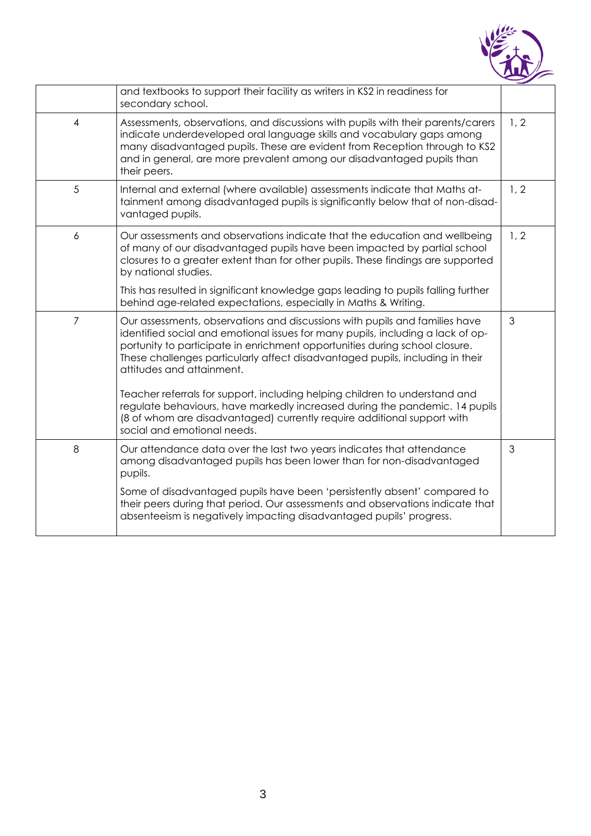

|                | and textbooks to support their facility as writers in KS2 in readiness for<br>secondary school.                                                                                                                                                                                                                                                             |      |
|----------------|-------------------------------------------------------------------------------------------------------------------------------------------------------------------------------------------------------------------------------------------------------------------------------------------------------------------------------------------------------------|------|
| $\overline{4}$ | Assessments, observations, and discussions with pupils with their parents/carers<br>indicate underdeveloped oral language skills and vocabulary gaps among<br>many disadvantaged pupils. These are evident from Reception through to KS2<br>and in general, are more prevalent among our disadvantaged pupils than<br>their peers.                          | 1, 2 |
| 5              | Internal and external (where available) assessments indicate that Maths at-<br>tainment among disadvantaged pupils is significantly below that of non-disad-<br>vantaged pupils.                                                                                                                                                                            | 1, 2 |
| 6              | Our assessments and observations indicate that the education and wellbeing<br>of many of our disadvantaged pupils have been impacted by partial school<br>closures to a greater extent than for other pupils. These findings are supported<br>by national studies.                                                                                          | 1, 2 |
|                | This has resulted in significant knowledge gaps leading to pupils falling further<br>behind age-related expectations, especially in Maths & Writing.                                                                                                                                                                                                        |      |
| $\overline{7}$ | Our assessments, observations and discussions with pupils and families have<br>identified social and emotional issues for many pupils, including a lack of op-<br>portunity to participate in enrichment opportunities during school closure.<br>These challenges particularly affect disadvantaged pupils, including in their<br>attitudes and attainment. | 3    |
|                | Teacher referrals for support, including helping children to understand and<br>regulate behaviours, have markedly increased during the pandemic. 14 pupils<br>(8 of whom are disadvantaged) currently require additional support with<br>social and emotional needs.                                                                                        |      |
| 8              | Our attendance data over the last two years indicates that attendance<br>among disadvantaged pupils has been lower than for non-disadvantaged<br>pupils.                                                                                                                                                                                                    | 3    |
|                | Some of disadvantaged pupils have been 'persistently absent' compared to<br>their peers during that period. Our assessments and observations indicate that<br>absenteeism is negatively impacting disadvantaged pupils' progress.                                                                                                                           |      |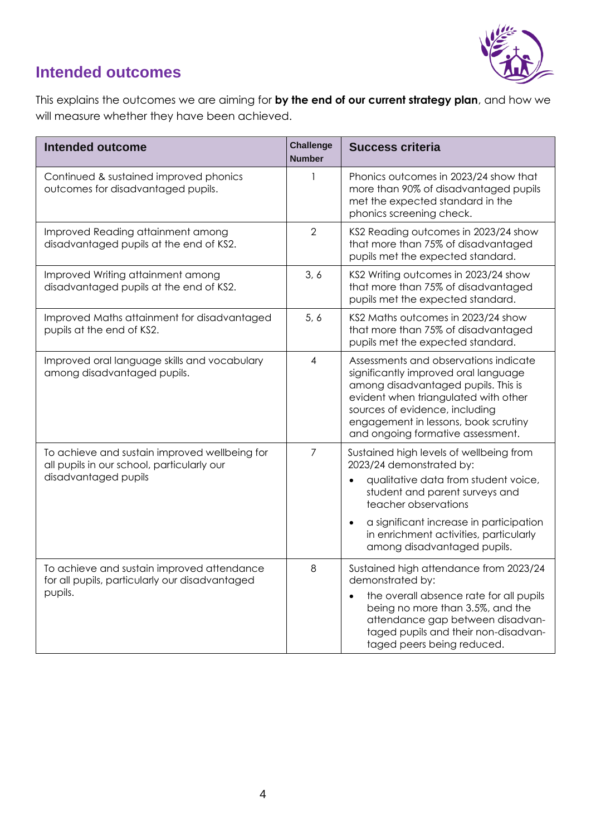

## **Intended outcomes**

This explains the outcomes we are aiming for **by the end of our current strategy plan**, and how we will measure whether they have been achieved.

| <b>Intended outcome</b>                                                                                             | <b>Challenge</b><br><b>Number</b> | <b>Success criteria</b>                                                                                                                                                                                                                                                                                |
|---------------------------------------------------------------------------------------------------------------------|-----------------------------------|--------------------------------------------------------------------------------------------------------------------------------------------------------------------------------------------------------------------------------------------------------------------------------------------------------|
| Continued & sustained improved phonics<br>outcomes for disadvantaged pupils.                                        | 1                                 | Phonics outcomes in 2023/24 show that<br>more than 90% of disadvantaged pupils<br>met the expected standard in the<br>phonics screening check.                                                                                                                                                         |
| Improved Reading attainment among<br>disadvantaged pupils at the end of KS2.                                        | $\overline{2}$                    | KS2 Reading outcomes in 2023/24 show<br>that more than 75% of disadvantaged<br>pupils met the expected standard.                                                                                                                                                                                       |
| Improved Writing attainment among<br>disadvantaged pupils at the end of KS2.                                        | 3, 6                              | KS2 Writing outcomes in 2023/24 show<br>that more than 75% of disadvantaged<br>pupils met the expected standard.                                                                                                                                                                                       |
| Improved Maths attainment for disadvantaged<br>pupils at the end of KS2.                                            | 5, 6                              | KS2 Maths outcomes in 2023/24 show<br>that more than 75% of disadvantaged<br>pupils met the expected standard.                                                                                                                                                                                         |
| Improved oral language skills and vocabulary<br>among disadvantaged pupils.                                         | 4                                 | Assessments and observations indicate<br>significantly improved oral language<br>among disadvantaged pupils. This is<br>evident when triangulated with other<br>sources of evidence, including<br>engagement in lessons, book scrutiny<br>and ongoing formative assessment.                            |
| To achieve and sustain improved wellbeing for<br>all pupils in our school, particularly our<br>disadvantaged pupils | $\overline{7}$                    | Sustained high levels of wellbeing from<br>2023/24 demonstrated by:<br>qualitative data from student voice,<br>student and parent surveys and<br>teacher observations<br>a significant increase in participation<br>$\bullet$<br>in enrichment activities, particularly<br>among disadvantaged pupils. |
| To achieve and sustain improved attendance<br>for all pupils, particularly our disadvantaged<br>pupils.             | 8                                 | Sustained high attendance from 2023/24<br>demonstrated by:<br>the overall absence rate for all pupils<br>$\bullet$<br>being no more than 3.5%, and the<br>attendance gap between disadvan-<br>taged pupils and their non-disadvan-<br>taged peers being reduced.                                       |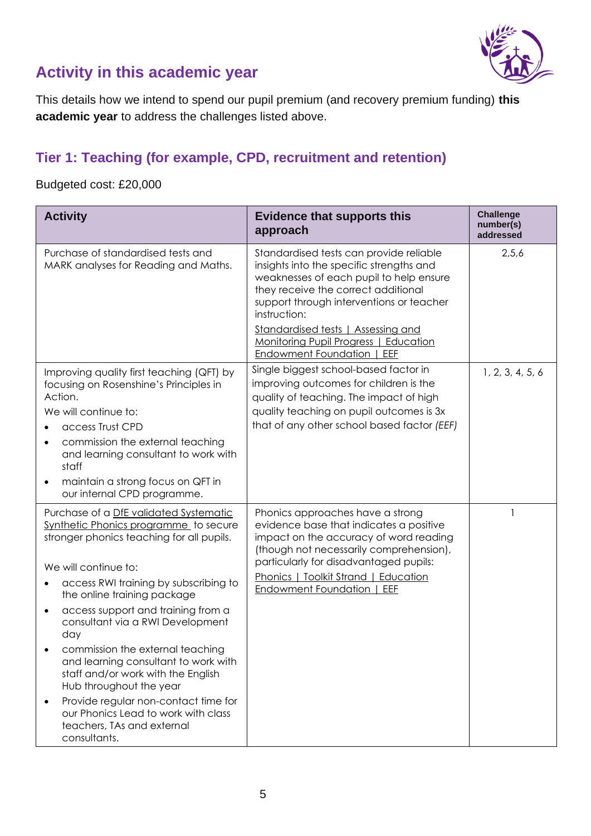

## **Activity in this academic year**

This details how we intend to spend our pupil premium (and recovery premium funding) **this academic year** to address the challenges listed above.

#### **Tier 1: Teaching (for example, CPD, recruitment and retention)**

Budgeted cost: £20,000

| <b>Activity</b>                                                                                                                                                                                                                                                                                                                                                                                                                                                                                                                                                                                                | <b>Evidence that supports this</b><br>approach                                                                                                                                                                                                                                                                                                           | <b>Challenge</b><br>number(s)<br>addressed |
|----------------------------------------------------------------------------------------------------------------------------------------------------------------------------------------------------------------------------------------------------------------------------------------------------------------------------------------------------------------------------------------------------------------------------------------------------------------------------------------------------------------------------------------------------------------------------------------------------------------|----------------------------------------------------------------------------------------------------------------------------------------------------------------------------------------------------------------------------------------------------------------------------------------------------------------------------------------------------------|--------------------------------------------|
| Purchase of standardised tests and<br>MARK analyses for Reading and Maths.                                                                                                                                                                                                                                                                                                                                                                                                                                                                                                                                     | Standardised tests can provide reliable<br>insights into the specific strengths and<br>weaknesses of each pupil to help ensure<br>they receive the correct additional<br>support through interventions or teacher<br>instruction:<br>Standardised tests   Assessing and<br>Monitoring Pupil Progress   Education<br><b>Endowment Foundation  </b><br>EEF | 2,5,6                                      |
| Improving quality first teaching (QFT) by<br>focusing on Rosenshine's Principles in<br>Action.<br>We will continue to:<br>access Trust CPD<br>commission the external teaching<br>٠<br>and learning consultant to work with<br>staff<br>maintain a strong focus on QFT in<br>$\bullet$<br>our internal CPD programme.                                                                                                                                                                                                                                                                                          | Single biggest school-based factor in<br>improving outcomes for children is the<br>quality of teaching. The impact of high<br>quality teaching on pupil outcomes is 3x<br>that of any other school based factor (EEF)                                                                                                                                    | 1, 2, 3, 4, 5, 6                           |
| Purchase of a DfE validated Systematic<br>Synthetic Phonics programme to secure<br>stronger phonics teaching for all pupils.<br>We will continue to:<br>access RWI training by subscribing to<br>٠<br>the online training package<br>access support and training from a<br>$\bullet$<br>consultant via a RWI Development<br>day<br>commission the external teaching<br>and learning consultant to work with<br>staff and/or work with the English<br>Hub throughout the year<br>Provide regular non-contact time for<br>٠<br>our Phonics Lead to work with class<br>teachers, TAs and external<br>consultants. | Phonics approaches have a strong<br>evidence base that indicates a positive<br>impact on the accuracy of word reading<br>(though not necessarily comprehension),<br>particularly for disadvantaged pupils:<br>Phonics   Toolkit Strand   Education<br><b>Endowment Foundation  </b><br>EEF                                                               |                                            |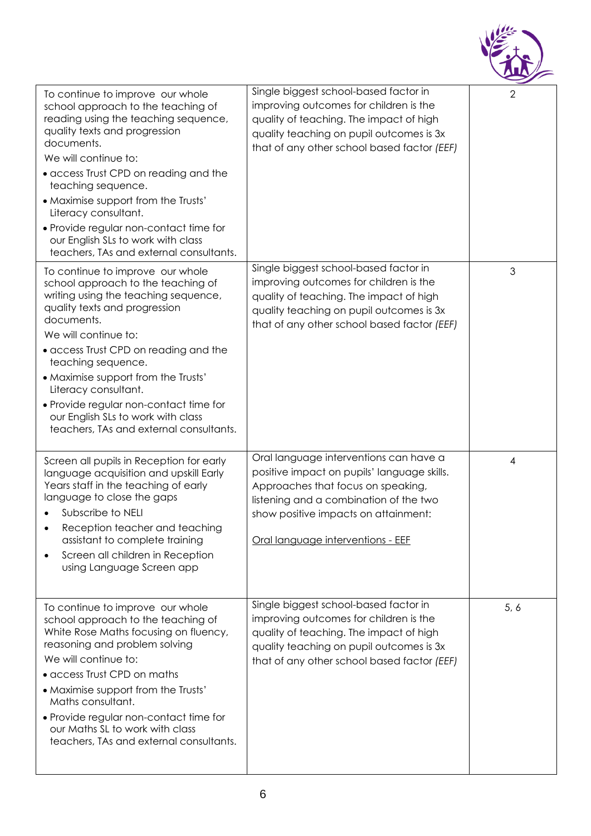

| To continue to improve our whole<br>school approach to the teaching of<br>reading using the teaching sequence,<br>quality texts and progression<br>documents.<br>We will continue to:<br>• access Trust CPD on reading and the<br>teaching sequence.<br>• Maximise support from the Trusts'<br>Literacy consultant.<br>• Provide regular non-contact time for<br>our English SLs to work with class<br>teachers, TAs and external consultants. | Single biggest school-based factor in<br>improving outcomes for children is the<br>quality of teaching. The impact of high<br>quality teaching on pupil outcomes is 3x<br>that of any other school based factor (EEF)                              | $\sqrt{2}$ |
|------------------------------------------------------------------------------------------------------------------------------------------------------------------------------------------------------------------------------------------------------------------------------------------------------------------------------------------------------------------------------------------------------------------------------------------------|----------------------------------------------------------------------------------------------------------------------------------------------------------------------------------------------------------------------------------------------------|------------|
| To continue to improve our whole<br>school approach to the teaching of<br>writing using the teaching sequence,<br>quality texts and progression<br>documents.<br>We will continue to:<br>• access Trust CPD on reading and the<br>teaching sequence.<br>• Maximise support from the Trusts'<br>Literacy consultant.<br>• Provide regular non-contact time for<br>our English SLs to work with class<br>teachers, TAs and external consultants. | Single biggest school-based factor in<br>improving outcomes for children is the<br>quality of teaching. The impact of high<br>quality teaching on pupil outcomes is 3x<br>that of any other school based factor (EEF)                              | 3          |
| Screen all pupils in Reception for early<br>language acquisition and upskill Early<br>Years staff in the teaching of early<br>language to close the gaps<br>Subscribe to NELI<br>Reception teacher and teaching<br>assistant to complete training<br>Screen all children in Reception<br>using Language Screen app                                                                                                                             | Oral language interventions can have a<br>positive impact on pupils' language skills.<br>Approaches that focus on speaking,<br>listening and a combination of the two<br>show positive impacts on attainment:<br>Oral language interventions - EEF | 4          |
| To continue to improve our whole<br>school approach to the teaching of<br>White Rose Maths focusing on fluency,<br>reasoning and problem solving<br>We will continue to:<br>• access Trust CPD on maths<br>• Maximise support from the Trusts'<br>Maths consultant.<br>• Provide regular non-contact time for<br>our Maths SL to work with class<br>teachers, TAs and external consultants.                                                    | Single biggest school-based factor in<br>improving outcomes for children is the<br>quality of teaching. The impact of high<br>quality teaching on pupil outcomes is 3x<br>that of any other school based factor (EEF)                              | 5, 6       |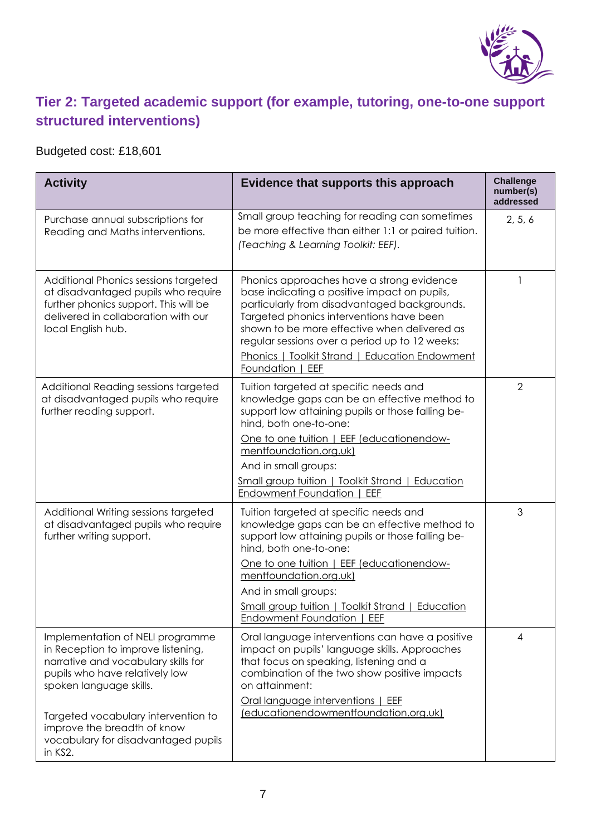

## **Tier 2: Targeted academic support (for example, tutoring, one-to-one support structured interventions)**

### Budgeted cost: £18,601

| <b>Activity</b>                                                                                                                                                                                                                                                                                    | Evidence that supports this approach                                                                                                                                                                                                                                                                                                                                 | <b>Challenge</b><br>number(s)<br>addressed |
|----------------------------------------------------------------------------------------------------------------------------------------------------------------------------------------------------------------------------------------------------------------------------------------------------|----------------------------------------------------------------------------------------------------------------------------------------------------------------------------------------------------------------------------------------------------------------------------------------------------------------------------------------------------------------------|--------------------------------------------|
| Purchase annual subscriptions for<br>Reading and Maths interventions.                                                                                                                                                                                                                              | Small group teaching for reading can sometimes<br>be more effective than either 1:1 or paired tuition.<br>(Teaching & Learning Toolkit: EEF).                                                                                                                                                                                                                        | 2, 5, 6                                    |
| Additional Phonics sessions targeted<br>at disadvantaged pupils who require<br>further phonics support. This will be<br>delivered in collaboration with our<br>local English hub.                                                                                                                  | Phonics approaches have a strong evidence<br>base indicating a positive impact on pupils,<br>particularly from disadvantaged backgrounds.<br>Targeted phonics interventions have been<br>shown to be more effective when delivered as<br>regular sessions over a period up to 12 weeks:<br><b>Phonics   Toolkit Strand   Education Endowment</b><br>Foundation   EEF | 1                                          |
| Additional Reading sessions targeted<br>at disadvantaged pupils who require<br>further reading support.                                                                                                                                                                                            | Tuition targeted at specific needs and<br>knowledge gaps can be an effective method to<br>support low attaining pupils or those falling be-<br>hind, both one-to-one:<br>One to one tuition   EEF (educationendow-<br>mentfoundation.org.uk)<br>And in small groups:<br><b>Small group tuition   Toolkit Strand   Education</b><br>Endowment Foundation   EEF        | $\overline{2}$                             |
| Additional Writing sessions targeted<br>at disadvantaged pupils who require<br>further writing support.                                                                                                                                                                                            | Tuition targeted at specific needs and<br>knowledge gaps can be an effective method to<br>support low attaining pupils or those falling be-<br>hind, both one-to-one:<br>One to one tuition   EEF (educationendow-<br>mentfoundation.org.uk)<br>And in small groups:<br><b>Small group tuition   Toolkit Strand   Education</b><br>Endowment Foundation   EEF        | 3                                          |
| Implementation of NELI programme<br>in Reception to improve listening,<br>narrative and vocabulary skills for<br>pupils who have relatively low<br>spoken language skills.<br>Targeted vocabulary intervention to<br>improve the breadth of know<br>vocabulary for disadvantaged pupils<br>in KS2. | Oral language interventions can have a positive<br>impact on pupils' language skills. Approaches<br>that focus on speaking, listening and a<br>combination of the two show positive impacts<br>on attainment:<br>Oral language interventions   EEF<br>(educationendowmentfoundation.org.uk)                                                                          | $\overline{4}$                             |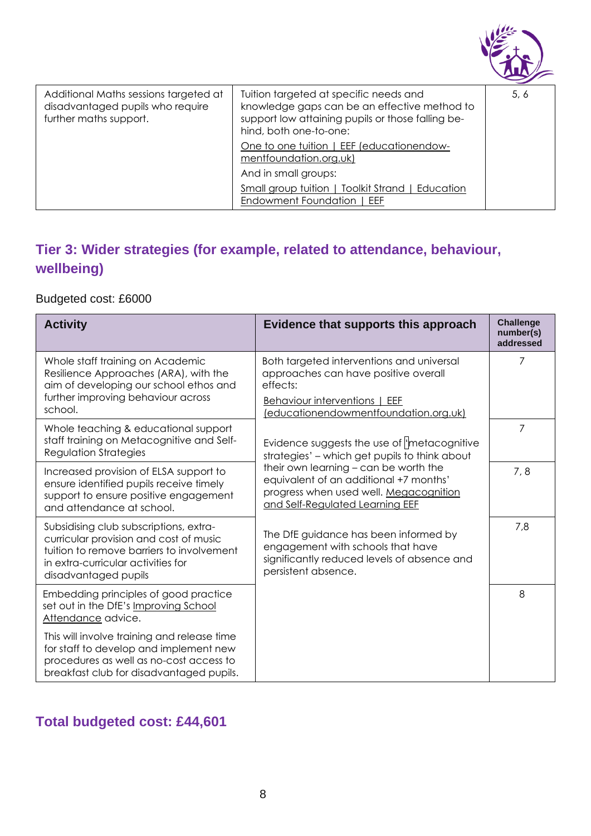

| Additional Maths sessions targeted at<br>disadvantaged pupils who require<br>further maths support. | Tuition targeted at specific needs and<br>knowledge gaps can be an effective method to<br>support low attaining pupils or those falling be-<br>hind, both one-to-one: | 5, 6 |
|-----------------------------------------------------------------------------------------------------|-----------------------------------------------------------------------------------------------------------------------------------------------------------------------|------|
|                                                                                                     | One to one tuition   EEF (educationendow-<br>mentfoundation.org.uk)                                                                                                   |      |
|                                                                                                     | And in small groups:                                                                                                                                                  |      |
|                                                                                                     | Small group tuition   Toolkit Strand   Education<br>Endowment Foundation   EEF                                                                                        |      |
|                                                                                                     |                                                                                                                                                                       |      |

## **Tier 3: Wider strategies (for example, related to attendance, behaviour, wellbeing)**

Budgeted cost: £6000

| <b>Activity</b>                                                                                                                                                                             | Evidence that supports this approach                                                                                                                         | <b>Challenge</b><br>number(s)<br>addressed |
|---------------------------------------------------------------------------------------------------------------------------------------------------------------------------------------------|--------------------------------------------------------------------------------------------------------------------------------------------------------------|--------------------------------------------|
| Whole staff training on Academic<br>Resilience Approaches (ARA), with the<br>aim of developing our school ethos and<br>further improving behaviour across                                   | Both targeted interventions and universal<br>approaches can have positive overall<br>effects:<br>Behaviour interventions   EEF                               | 7                                          |
| school.                                                                                                                                                                                     | (educationendowmentfoundation.org.uk)                                                                                                                        |                                            |
| Whole teaching & educational support<br>staff training on Metacognitive and Self-<br><b>Regulation Strategies</b>                                                                           | Evidence suggests the use of <i>'metacognitive</i><br>strategies' - which get pupils to think about                                                          | 7                                          |
| Increased provision of ELSA support to<br>ensure identified pupils receive timely<br>support to ensure positive engagement<br>and attendance at school.                                     | their own learning - can be worth the<br>equivalent of an additional +7 months'<br>progress when used well. Megacognition<br>and Self-Regulated Learning EEF | 7, 8                                       |
| Subsidising club subscriptions, extra-<br>curricular provision and cost of music<br>tuition to remove barriers to involvement<br>in extra-curricular activities for<br>disadvantaged pupils | The DfE guidance has been informed by<br>engagement with schools that have<br>significantly reduced levels of absence and<br>persistent absence.             | 7,8                                        |
| Embedding principles of good practice<br>set out in the DfE's Improving School<br>Attendance advice.                                                                                        |                                                                                                                                                              | 8                                          |
| This will involve training and release time<br>for staff to develop and implement new<br>procedures as well as no-cost access to<br>breakfast club for disadvantaged pupils.                |                                                                                                                                                              |                                            |

### **Total budgeted cost: £44,601**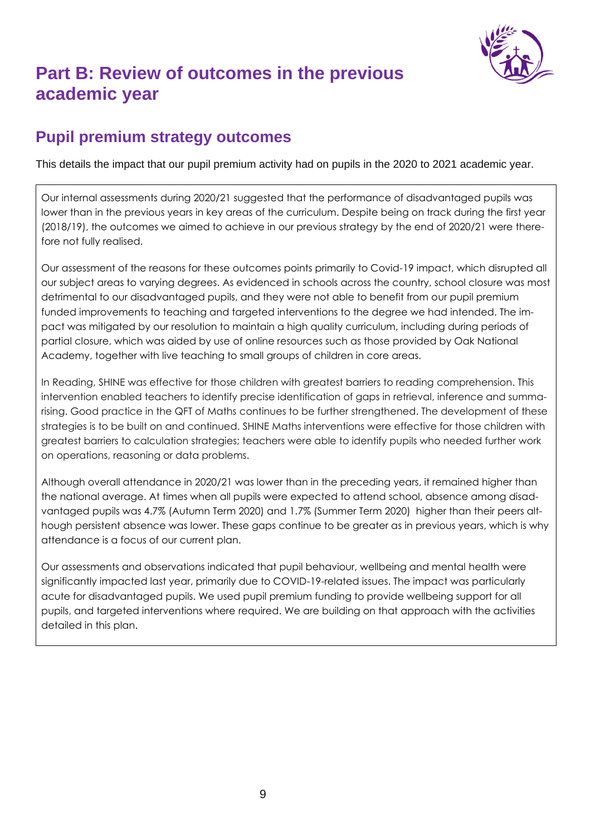

# **Part B: Review of outcomes in the previous academic year**

### **Pupil premium strategy outcomes**

This details the impact that our pupil premium activity had on pupils in the 2020 to 2021 academic year.

Our internal assessments during 2020/21 suggested that the performance of disadvantaged pupils was lower than in the previous years in key areas of the curriculum. Despite being on track during the first year (2018/19), the outcomes we aimed to achieve in our previous strategy by the end of 2020/21 were therefore not fully realised.

Our assessment of the reasons for these outcomes points primarily to Covid-19 impact, which disrupted all our subject areas to varying degrees. As evidenced in schools across the country, school closure was most detrimental to our disadvantaged pupils, and they were not able to benefit from our pupil premium funded improvements to teaching and targeted interventions to the degree we had intended. The impact was mitigated by our resolution to maintain a high quality curriculum, including during periods of partial closure, which was aided by use of online resources such as those provided by Oak National Academy, together with live teaching to small groups of children in core areas.

In Reading, SHINE was effective for those children with greatest barriers to reading comprehension. This intervention enabled teachers to identify precise identification of gaps in retrieval, inference and summarising. Good practice in the QFT of Maths continues to be further strengthened. The development of these strategies is to be built on and continued. SHINE Maths interventions were effective for those children with greatest barriers to calculation strategies; teachers were able to identify pupils who needed further work on operations, reasoning or data problems.

Although overall attendance in 2020/21 was lower than in the preceding years, it remained higher than the national average. At times when all pupils were expected to attend school, absence among disadvantaged pupils was 4.7% (Autumn Term 2020) and 1.7% (Summer Term 2020) higher than their peers although persistent absence was lower. These gaps continue to be greater as in previous years, which is why attendance is a focus of our current plan.

Our assessments and observations indicated that pupil behaviour, wellbeing and mental health were significantly impacted last year, primarily due to COVID-19-related issues. The impact was particularly acute for disadvantaged pupils. We used pupil premium funding to provide wellbeing support for all pupils, and targeted interventions where required. We are building on that approach with the activities detailed in this plan.